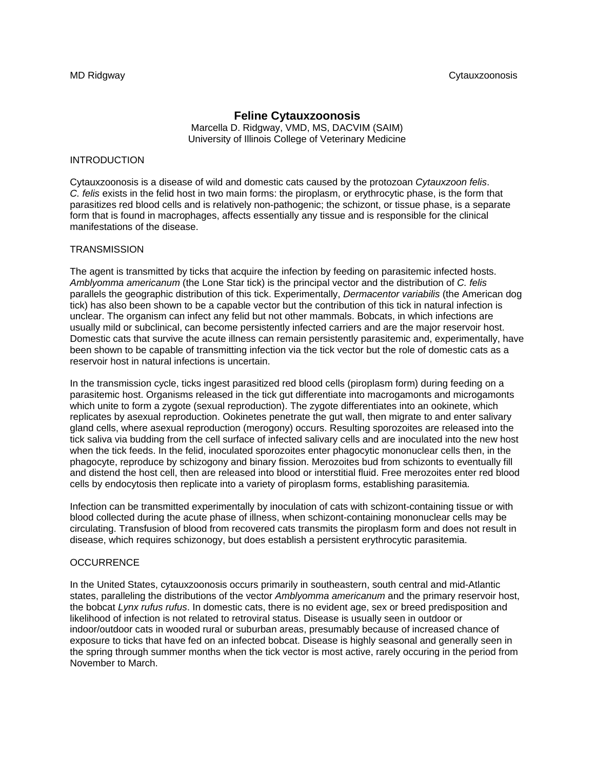# **Feline Cytauxzoonosis**  Marcella D. Ridgway, VMD, MS, DACVIM (SAIM) University of Illinois College of Veterinary Medicine

# INTRODUCTION

Cytauxzoonosis is a disease of wild and domestic cats caused by the protozoan *Cytauxzoon felis*. *C. felis* exists in the felid host in two main forms: the piroplasm, or erythrocytic phase, is the form that parasitizes red blood cells and is relatively non-pathogenic; the schizont, or tissue phase, is a separate form that is found in macrophages, affects essentially any tissue and is responsible for the clinical manifestations of the disease.

### **TRANSMISSION**

The agent is transmitted by ticks that acquire the infection by feeding on parasitemic infected hosts. *Amblyomma americanum* (the Lone Star tick) is the principal vector and the distribution of *C. felis*  parallels the geographic distribution of this tick. Experimentally, *Dermacentor variabilis* (the American dog tick) has also been shown to be a capable vector but the contribution of this tick in natural infection is unclear. The organism can infect any felid but not other mammals. Bobcats, in which infections are usually mild or subclinical, can become persistently infected carriers and are the major reservoir host. Domestic cats that survive the acute illness can remain persistently parasitemic and, experimentally, have been shown to be capable of transmitting infection via the tick vector but the role of domestic cats as a reservoir host in natural infections is uncertain.

In the transmission cycle, ticks ingest parasitized red blood cells (piroplasm form) during feeding on a parasitemic host. Organisms released in the tick gut differentiate into macrogamonts and microgamonts which unite to form a zygote (sexual reproduction). The zygote differentiates into an ookinete, which replicates by asexual reproduction. Ookinetes penetrate the gut wall, then migrate to and enter salivary gland cells, where asexual reproduction (merogony) occurs. Resulting sporozoites are released into the tick saliva via budding from the cell surface of infected salivary cells and are inoculated into the new host when the tick feeds. In the felid, inoculated sporozoites enter phagocytic mononuclear cells then, in the phagocyte, reproduce by schizogony and binary fission. Merozoites bud from schizonts to eventually fill and distend the host cell, then are released into blood or interstitial fluid. Free merozoites enter red blood cells by endocytosis then replicate into a variety of piroplasm forms, establishing parasitemia.

Infection can be transmitted experimentally by inoculation of cats with schizont-containing tissue or with blood collected during the acute phase of illness, when schizont-containing mononuclear cells may be circulating. Transfusion of blood from recovered cats transmits the piroplasm form and does not result in disease, which requires schizonogy, but does establish a persistent erythrocytic parasitemia.

### **OCCURRENCE**

In the United States, cytauxzoonosis occurs primarily in southeastern, south central and mid-Atlantic states, paralleling the distributions of the vector *Amblyomma americanum* and the primary reservoir host, the bobcat *Lynx rufus rufus*. In domestic cats, there is no evident age, sex or breed predisposition and likelihood of infection is not related to retroviral status. Disease is usually seen in outdoor or indoor/outdoor cats in wooded rural or suburban areas, presumably because of increased chance of exposure to ticks that have fed on an infected bobcat. Disease is highly seasonal and generally seen in the spring through summer months when the tick vector is most active, rarely occuring in the period from November to March.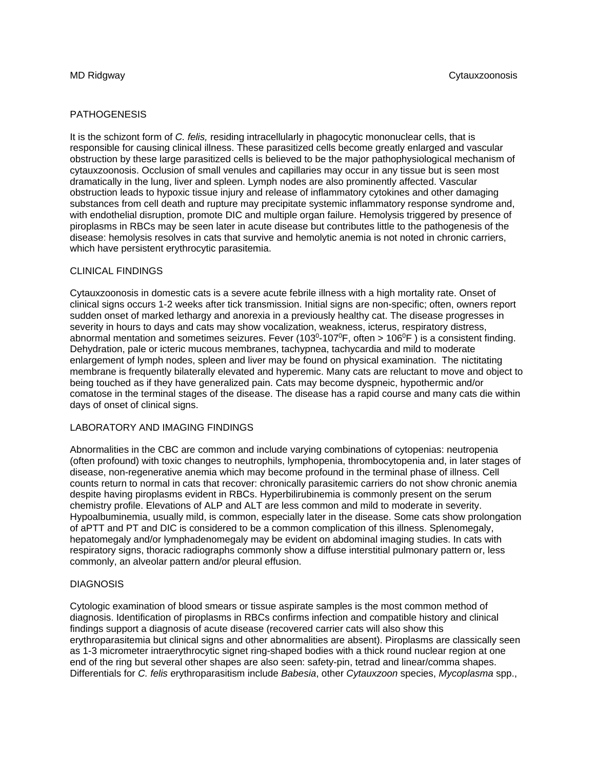# **PATHOGENESIS**

It is the schizont form of *C. felis,* residing intracellularly in phagocytic mononuclear cells, that is responsible for causing clinical illness. These parasitized cells become greatly enlarged and vascular obstruction by these large parasitized cells is believed to be the major pathophysiological mechanism of cytauxzoonosis. Occlusion of small venules and capillaries may occur in any tissue but is seen most dramatically in the lung, liver and spleen. Lymph nodes are also prominently affected. Vascular obstruction leads to hypoxic tissue injury and release of inflammatory cytokines and other damaging substances from cell death and rupture may precipitate systemic inflammatory response syndrome and, with endothelial disruption, promote DIC and multiple organ failure. Hemolysis triggered by presence of piroplasms in RBCs may be seen later in acute disease but contributes little to the pathogenesis of the disease: hemolysis resolves in cats that survive and hemolytic anemia is not noted in chronic carriers, which have persistent erythrocytic parasitemia.

# CLINICAL FINDINGS

Cytauxzoonosis in domestic cats is a severe acute febrile illness with a high mortality rate. Onset of clinical signs occurs 1-2 weeks after tick transmission. Initial signs are non-specific; often, owners report sudden onset of marked lethargy and anorexia in a previously healthy cat. The disease progresses in severity in hours to days and cats may show vocalization, weakness, icterus, respiratory distress, abnormal mentation and sometimes seizures. Fever (103<sup>0</sup>-107<sup>0</sup>F, often > 106<sup>0</sup>F) is a consistent finding. Dehydration, pale or icteric mucous membranes, tachypnea, tachycardia and mild to moderate enlargement of lymph nodes, spleen and liver may be found on physical examination. The nictitating membrane is frequently bilaterally elevated and hyperemic. Many cats are reluctant to move and object to being touched as if they have generalized pain. Cats may become dyspneic, hypothermic and/or comatose in the terminal stages of the disease. The disease has a rapid course and many cats die within days of onset of clinical signs.

### LABORATORY AND IMAGING FINDINGS

Abnormalities in the CBC are common and include varying combinations of cytopenias: neutropenia (often profound) with toxic changes to neutrophils, lymphopenia, thrombocytopenia and, in later stages of disease, non-regenerative anemia which may become profound in the terminal phase of illness. Cell counts return to normal in cats that recover: chronically parasitemic carriers do not show chronic anemia despite having piroplasms evident in RBCs. Hyperbilirubinemia is commonly present on the serum chemistry profile. Elevations of ALP and ALT are less common and mild to moderate in severity. Hypoalbuminemia, usually mild, is common, especially later in the disease. Some cats show prolongation of aPTT and PT and DIC is considered to be a common complication of this illness. Splenomegaly, hepatomegaly and/or lymphadenomegaly may be evident on abdominal imaging studies. In cats with respiratory signs, thoracic radiographs commonly show a diffuse interstitial pulmonary pattern or, less commonly, an alveolar pattern and/or pleural effusion.

### **DIAGNOSIS**

Cytologic examination of blood smears or tissue aspirate samples is the most common method of diagnosis. Identification of piroplasms in RBCs confirms infection and compatible history and clinical findings support a diagnosis of acute disease (recovered carrier cats will also show this erythroparasitemia but clinical signs and other abnormalities are absent). Piroplasms are classically seen as 1-3 micrometer intraerythrocytic signet ring-shaped bodies with a thick round nuclear region at one end of the ring but several other shapes are also seen: safety-pin, tetrad and linear/comma shapes. Differentials for *C. felis* erythroparasitism include *Babesia*, other *Cytauxzoon* species, *Mycoplasma* spp.,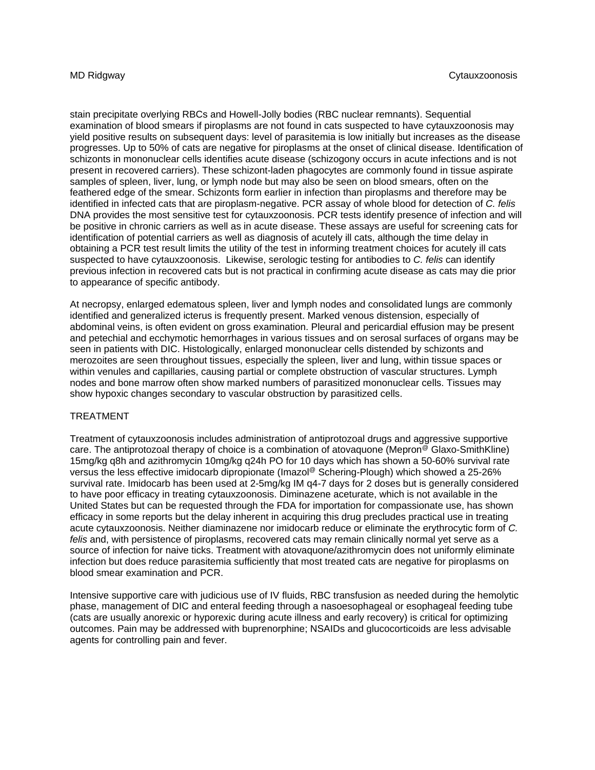stain precipitate overlying RBCs and Howell-Jolly bodies (RBC nuclear remnants). Sequential examination of blood smears if piroplasms are not found in cats suspected to have cytauxzoonosis may yield positive results on subsequent days: level of parasitemia is low initially but increases as the disease progresses. Up to 50% of cats are negative for piroplasms at the onset of clinical disease. Identification of schizonts in mononuclear cells identifies acute disease (schizogony occurs in acute infections and is not present in recovered carriers). These schizont-laden phagocytes are commonly found in tissue aspirate samples of spleen, liver, lung, or lymph node but may also be seen on blood smears, often on the feathered edge of the smear. Schizonts form earlier in infection than piroplasms and therefore may be identified in infected cats that are piroplasm-negative. PCR assay of whole blood for detection of *C. felis*  DNA provides the most sensitive test for cytauxzoonosis. PCR tests identify presence of infection and will be positive in chronic carriers as well as in acute disease. These assays are useful for screening cats for identification of potential carriers as well as diagnosis of acutely ill cats, although the time delay in obtaining a PCR test result limits the utility of the test in informing treatment choices for acutely ill cats suspected to have cytauxzoonosis. Likewise, serologic testing for antibodies to *C. felis* can identify previous infection in recovered cats but is not practical in confirming acute disease as cats may die prior to appearance of specific antibody.

At necropsy, enlarged edematous spleen, liver and lymph nodes and consolidated lungs are commonly identified and generalized icterus is frequently present. Marked venous distension, especially of abdominal veins, is often evident on gross examination. Pleural and pericardial effusion may be present and petechial and ecchymotic hemorrhages in various tissues and on serosal surfaces of organs may be seen in patients with DIC. Histologically, enlarged mononuclear cells distended by schizonts and merozoites are seen throughout tissues, especially the spleen, liver and lung, within tissue spaces or within venules and capillaries, causing partial or complete obstruction of vascular structures. Lymph nodes and bone marrow often show marked numbers of parasitized mononuclear cells. Tissues may show hypoxic changes secondary to vascular obstruction by parasitized cells.

### TREATMENT

Treatment of cytauxzoonosis includes administration of antiprotozoal drugs and aggressive supportive care. The antiprotozoal therapy of choice is a combination of atovaquone (Mepron<sup>®</sup> Glaxo-SmithKline) 15mg/kg q8h and azithromycin 10mg/kg q24h PO for 10 days which has shown a 50-60% survival rate versus the less effective imidocarb dipropionate (Imazol® Schering-Plough) which showed a 25-26% survival rate. Imidocarb has been used at 2-5mg/kg IM q4-7 days for 2 doses but is generally considered to have poor efficacy in treating cytauxzoonosis. Diminazene aceturate, which is not available in the United States but can be requested through the FDA for importation for compassionate use, has shown efficacy in some reports but the delay inherent in acquiring this drug precludes practical use in treating acute cytauxzoonosis. Neither diaminazene nor imidocarb reduce or eliminate the erythrocytic form of *C. felis* and, with persistence of piroplasms, recovered cats may remain clinically normal yet serve as a source of infection for naive ticks. Treatment with atovaquone/azithromycin does not uniformly eliminate infection but does reduce parasitemia sufficiently that most treated cats are negative for piroplasms on blood smear examination and PCR.

Intensive supportive care with judicious use of IV fluids, RBC transfusion as needed during the hemolytic phase, management of DIC and enteral feeding through a nasoesophageal or esophageal feeding tube (cats are usually anorexic or hyporexic during acute illness and early recovery) is critical for optimizing outcomes. Pain may be addressed with buprenorphine; NSAIDs and glucocorticoids are less advisable agents for controlling pain and fever.